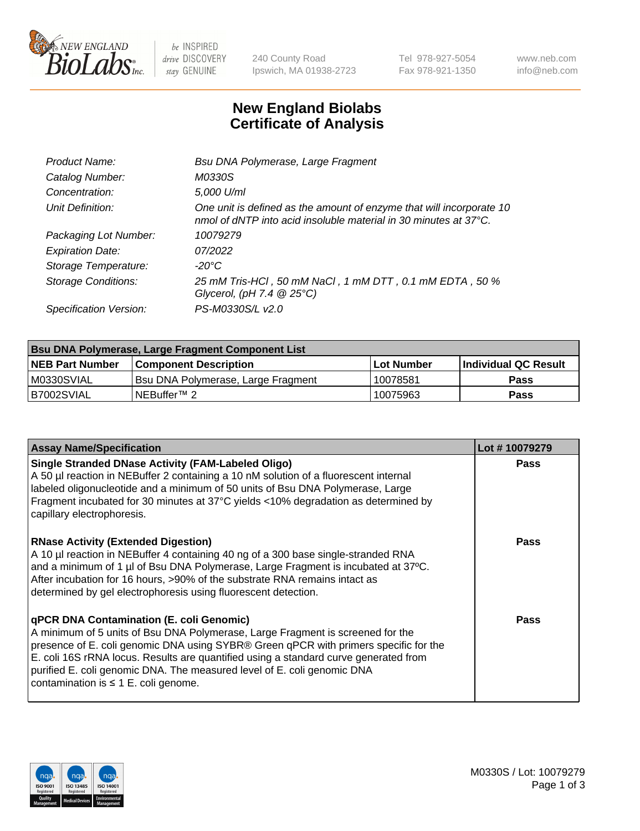

 $be$  INSPIRED drive DISCOVERY stay GENUINE

240 County Road Ipswich, MA 01938-2723 Tel 978-927-5054 Fax 978-921-1350 www.neb.com info@neb.com

## **New England Biolabs Certificate of Analysis**

| Product Name:              | Bsu DNA Polymerase, Large Fragment                                                                                                                 |
|----------------------------|----------------------------------------------------------------------------------------------------------------------------------------------------|
| Catalog Number:            | M0330S                                                                                                                                             |
| Concentration:             | 5,000 U/ml                                                                                                                                         |
| Unit Definition:           | One unit is defined as the amount of enzyme that will incorporate 10<br>nmol of dNTP into acid insoluble material in 30 minutes at $37^{\circ}$ C. |
| Packaging Lot Number:      | 10079279                                                                                                                                           |
| <b>Expiration Date:</b>    | 07/2022                                                                                                                                            |
| Storage Temperature:       | $-20^{\circ}$ C                                                                                                                                    |
| <b>Storage Conditions:</b> | 25 mM Tris-HCl, 50 mM NaCl, 1 mM DTT, 0.1 mM EDTA, 50 %<br>Glycerol, (pH 7.4 $@25°C$ )                                                             |
| Specification Version:     | PS-M0330S/L v2.0                                                                                                                                   |

| <b>Bsu DNA Polymerase, Large Fragment Component List</b> |                                    |                   |                      |  |
|----------------------------------------------------------|------------------------------------|-------------------|----------------------|--|
| <b>NEB Part Number</b>                                   | <b>Component Description</b>       | <b>Lot Number</b> | Individual QC Result |  |
| M0330SVIAL                                               | Bsu DNA Polymerase, Large Fragment | 10078581          | <b>Pass</b>          |  |
| B7002SVIAL                                               | INEBuffer™ 2_                      | 10075963          | Pass                 |  |

| <b>Assay Name/Specification</b>                                                                                                                                                                                                                                                                                                                                                                                                    | Lot #10079279 |
|------------------------------------------------------------------------------------------------------------------------------------------------------------------------------------------------------------------------------------------------------------------------------------------------------------------------------------------------------------------------------------------------------------------------------------|---------------|
| <b>Single Stranded DNase Activity (FAM-Labeled Oligo)</b><br>A 50 µl reaction in NEBuffer 2 containing a 10 nM solution of a fluorescent internal<br>labeled oligonucleotide and a minimum of 50 units of Bsu DNA Polymerase, Large<br>Fragment incubated for 30 minutes at 37°C yields <10% degradation as determined by<br>capillary electrophoresis.                                                                            | <b>Pass</b>   |
| <b>RNase Activity (Extended Digestion)</b><br>A 10 µl reaction in NEBuffer 4 containing 40 ng of a 300 base single-stranded RNA<br>and a minimum of 1 µl of Bsu DNA Polymerase, Large Fragment is incubated at 37°C.<br>After incubation for 16 hours, >90% of the substrate RNA remains intact as<br>determined by gel electrophoresis using fluorescent detection.                                                               | <b>Pass</b>   |
| qPCR DNA Contamination (E. coli Genomic)<br>A minimum of 5 units of Bsu DNA Polymerase, Large Fragment is screened for the<br>presence of E. coli genomic DNA using SYBR® Green qPCR with primers specific for the<br>E. coli 16S rRNA locus. Results are quantified using a standard curve generated from<br>purified E. coli genomic DNA. The measured level of E. coli genomic DNA<br>contamination is $\leq 1$ E. coli genome. | <b>Pass</b>   |

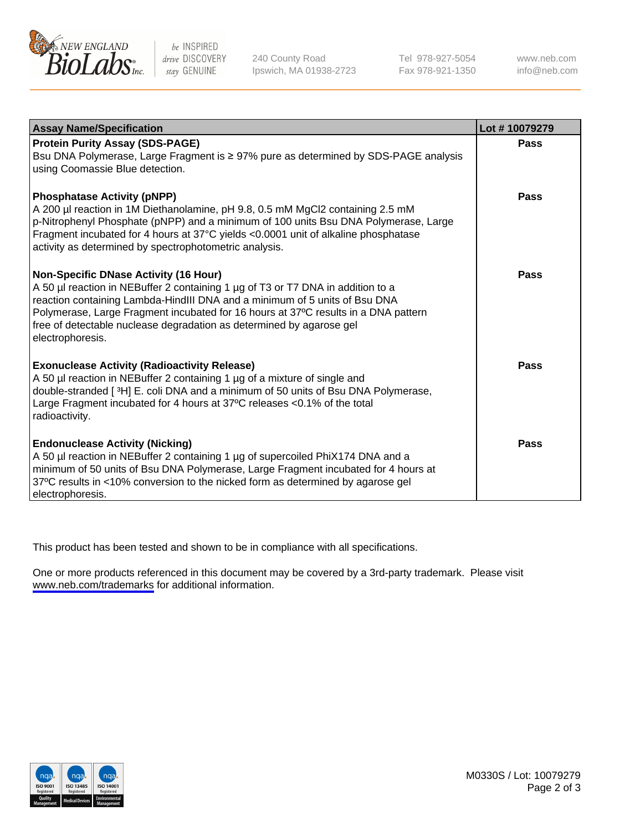

be INSPIRED drive DISCOVERY stay GENUINE

240 County Road Ipswich, MA 01938-2723 Tel 978-927-5054 Fax 978-921-1350

www.neb.com info@neb.com

| <b>Assay Name/Specification</b>                                                                                                                                                                                                                                                                                                                                                                 | Lot #10079279 |
|-------------------------------------------------------------------------------------------------------------------------------------------------------------------------------------------------------------------------------------------------------------------------------------------------------------------------------------------------------------------------------------------------|---------------|
| <b>Protein Purity Assay (SDS-PAGE)</b><br>Bsu DNA Polymerase, Large Fragment is ≥ 97% pure as determined by SDS-PAGE analysis<br>using Coomassie Blue detection.                                                                                                                                                                                                                                | <b>Pass</b>   |
| <b>Phosphatase Activity (pNPP)</b><br>A 200 µl reaction in 1M Diethanolamine, pH 9.8, 0.5 mM MgCl2 containing 2.5 mM<br>p-Nitrophenyl Phosphate (pNPP) and a minimum of 100 units Bsu DNA Polymerase, Large<br>Fragment incubated for 4 hours at 37°C yields <0.0001 unit of alkaline phosphatase<br>activity as determined by spectrophotometric analysis.                                     | <b>Pass</b>   |
| <b>Non-Specific DNase Activity (16 Hour)</b><br>A 50 µl reaction in NEBuffer 2 containing 1 µg of T3 or T7 DNA in addition to a<br>reaction containing Lambda-HindIII DNA and a minimum of 5 units of Bsu DNA<br>Polymerase, Large Fragment incubated for 16 hours at 37°C results in a DNA pattern<br>free of detectable nuclease degradation as determined by agarose gel<br>electrophoresis. | <b>Pass</b>   |
| <b>Exonuclease Activity (Radioactivity Release)</b><br>A 50 µl reaction in NEBuffer 2 containing 1 µg of a mixture of single and<br>double-stranded [3H] E. coli DNA and a minimum of 50 units of Bsu DNA Polymerase,<br>Large Fragment incubated for 4 hours at 37°C releases <0.1% of the total<br>radioactivity.                                                                             | <b>Pass</b>   |
| <b>Endonuclease Activity (Nicking)</b><br>A 50 µl reaction in NEBuffer 2 containing 1 µg of supercoiled PhiX174 DNA and a<br>minimum of 50 units of Bsu DNA Polymerase, Large Fragment incubated for 4 hours at<br>37°C results in <10% conversion to the nicked form as determined by agarose gel<br>electrophoresis.                                                                          | <b>Pass</b>   |

This product has been tested and shown to be in compliance with all specifications.

One or more products referenced in this document may be covered by a 3rd-party trademark. Please visit <www.neb.com/trademarks>for additional information.